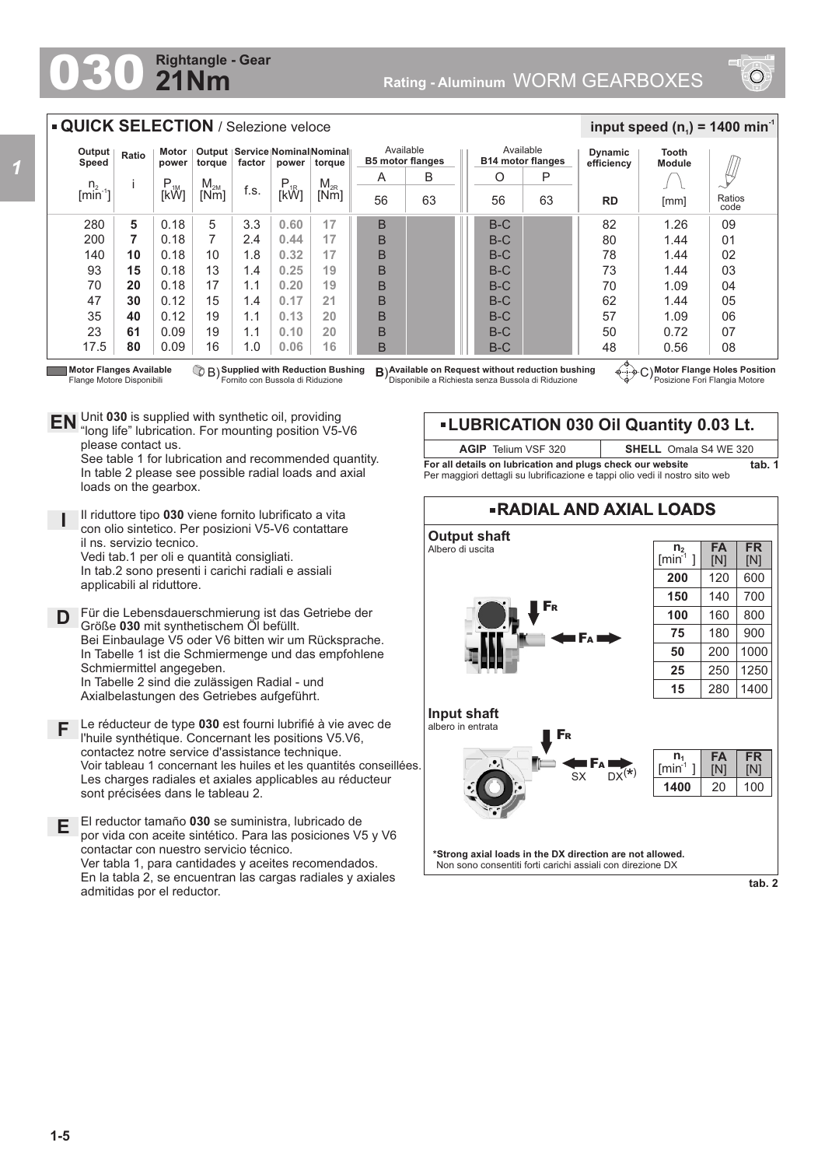## **21Nm Rightangle - Gear**



## **QUICK SELECTION** / Selezione veloce

| Output<br>Speed                                        | Ratio | Motor<br>power | torque   | Output   Service   Nominal Nominal   <br>factor<br>power |          | torque   | Available<br><b>B5 motor flanges</b> |    | Available<br><b>B14 motor flanges</b> |    | <b>Dynamic</b><br>efficiency | Tooth<br><b>Module</b> |                |
|--------------------------------------------------------|-------|----------------|----------|----------------------------------------------------------|----------|----------|--------------------------------------|----|---------------------------------------|----|------------------------------|------------------------|----------------|
|                                                        |       | $P_{1M}$       | $M_{2M}$ |                                                          | $P_{1R}$ | $M_{2R}$ | A                                    | B  | O                                     | P  |                              |                        | 14<br>$\sim$   |
| $\begin{bmatrix} n_2 \\ \text{min}^{-1} \end{bmatrix}$ |       | [kW]           | [Nm]     | f.s.                                                     | [kŴ]     | [Nm]     | 56                                   | 63 | 56                                    | 63 | <b>RD</b>                    | [mm]                   | Ratios<br>code |
| 280                                                    | 5     | 0.18           | 5        | 3.3                                                      | 0.60     | 17       | B                                    |    | $B-C$                                 |    | 82                           | 1.26                   | 09             |
| 200                                                    | 7     | 0.18           | 7        | 2.4                                                      | 0.44     | 17       | B                                    |    | $B-C$                                 |    | 80                           | 1.44                   | 01             |
| 140                                                    | 10    | 0.18           | 10       | 1.8                                                      | 0.32     | 17       | B                                    |    | $B-C$                                 |    | 78                           | 1.44                   | 02             |
| 93                                                     | 15    | 0.18           | 13       | 1.4                                                      | 0.25     | 19       | B                                    |    | $B-C$                                 |    | 73                           | 1.44                   | 03             |
| 70                                                     | 20    | 0.18           | 17       | 1.1                                                      | 0.20     | 19       | B                                    |    | $B-C$                                 |    | 70                           | 1.09                   | 04             |
| 47                                                     | 30    | 0.12           | 15       | 1.4                                                      | 0.17     | 21       | B                                    |    | $B-C$                                 |    | 62                           | 1.44                   | 05             |
| 35                                                     | 40    | 0.12           | 19       | 1.1                                                      | 0.13     | 20       | B                                    |    | $B-C$                                 |    | 57                           | 1.09                   | 06             |
| 23                                                     | 61    | 0.09           | 19       | 1.1                                                      | 0.10     | 20       | B                                    |    | $B-C$                                 |    | 50                           | 0.72                   | 07             |
| 17.5                                                   | 80    | 0.09           | 16       | 1.0                                                      | 0.06     | 16       | B                                    |    | $B-C$                                 |    | 48                           | 0.56                   | 08             |

Flange Motore Disponibili

**Supplied with Reduction Bushing** Fornito con Bussola di Riduzione B) **B**)

**Motor Flanges Available ① B) Supplied with Reduction Bushing B)Available on Request without reduction bushing ④……<br>Flange Motore Disponibili Fornito con Bussola di Riduzione Disponibile a Richiesta senza Bu** 

**Motor Flange Holes Position** Posizione Fori Flangia Motore

 $\frac{1}{2}$  **input speed (n**<sub>1</sub>) = 1400 min<sup>-1</sup>

Unit **030** is supplied with synthetic oil, providing **EN** Unit 030 is supplied with synthetic oil, providing<br>"long life" lubrication. For mounting position V5-V6 please contact us.

See table 1 for lubrication and recommended quantity. In table 2 please see possible radial loads and axial loads on the gearbox.

- **I** Il riduttore tipo **030** viene fornito lubrificato a vita con olio sintetico. Per posizioni V5-V6 contattare il ns. servizio tecnico. Vedi tab.1 per oli e quantità consigliati. In tab.2 sono presenti i carichi radiali e assiali applicabili al riduttore.
- **D** Für die Lebensdauerschmierung ist das Getriebe der<br>**D** Größe 030 mit synthetischem Öl befüllt Größe **030** mit synthetischem Öl befüllt. Bei Einbaulage V5 oder V6 bitten wir um Rücksprache. In Tabelle 1 ist die Schmiermenge und das empfohlene Schmiermittel angegeben. In Tabelle 2 sind die zulässigen Radial - und Axialbelastungen des Getriebes aufgeführt.
- **F** Le réducteur de type **030** est fourni lubrifié à vie avec de l'huile synthétique. Concernant les positions V5.V6, contactez notre service d'assistance technique. Voir tableau 1 concernant les huiles et les quantités conseillées. Les charges radiales et axiales applicables au réducteur sont précisées dans le tableau 2.
- **E** El reductor tamaño **030** se suministra, lubricado de por vida con aceite sintético. Para las posiciones V5 y V6 contactar con nuestro servicio técnico. Ver tabla 1, para cantidades y aceites recomendados. En la tabla 2, se encuentran las cargas radiales y axiales admitidas por el reductor.

## **LUBRICATION 030 Oil Quantity 0.03 Lt.**

| <b>AGIP</b> Telium VSF 320                                                   | <b>SHELL</b> Omala S4 WE 320 |  |  |  |  |
|------------------------------------------------------------------------------|------------------------------|--|--|--|--|
| For all details on lubrication and plugs check our website                   |                              |  |  |  |  |
| Per maggiori dettagli su lubrificazione e tappi olio vedi il nostro sito web |                              |  |  |  |  |



**tab. 2**

**tab. 1**